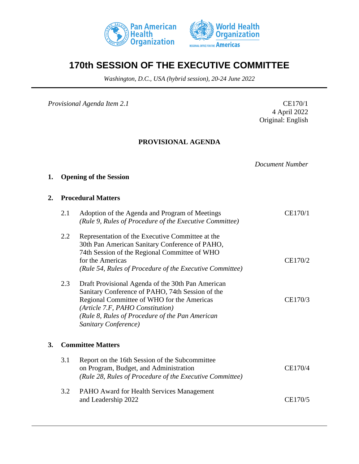



# **170th SESSION OF THE EXECUTIVE COMMITTEE**

*Washington, D.C., USA (hybrid session), 20-24 June 2022*

*Provisional Agenda Item 2.1* CE170/1

4 April 2022 Original: English

# **PROVISIONAL AGENDA**

*Document Number*

# **1. Opening of the Session**

#### **2. Procedural Matters**

|    | 2.1 | Adoption of the Agenda and Program of Meetings<br>(Rule 9, Rules of Procedure of the Executive Committee)                                                                                                                                                          | CE170/1 |
|----|-----|--------------------------------------------------------------------------------------------------------------------------------------------------------------------------------------------------------------------------------------------------------------------|---------|
|    | 2.2 | Representation of the Executive Committee at the<br>30th Pan American Sanitary Conference of PAHO,<br>74th Session of the Regional Committee of WHO<br>for the Americas<br>(Rule 54, Rules of Procedure of the Executive Committee)                                | CE170/2 |
|    | 2.3 | Draft Provisional Agenda of the 30th Pan American<br>Sanitary Conference of PAHO, 74th Session of the<br>Regional Committee of WHO for the Americas<br>(Article 7.F, PAHO Constitution)<br>(Rule 8, Rules of Procedure of the Pan American<br>Sanitary Conference) | CE170/3 |
| 3. |     | <b>Committee Matters</b>                                                                                                                                                                                                                                           |         |
|    | 3.1 | Report on the 16th Session of the Subcommittee<br>on Program, Budget, and Administration<br>(Rule 28, Rules of Procedure of the Executive Committee)                                                                                                               | CE170/4 |
|    | 3.2 | PAHO Award for Health Services Management<br>and Leadership 2022                                                                                                                                                                                                   | CE170/5 |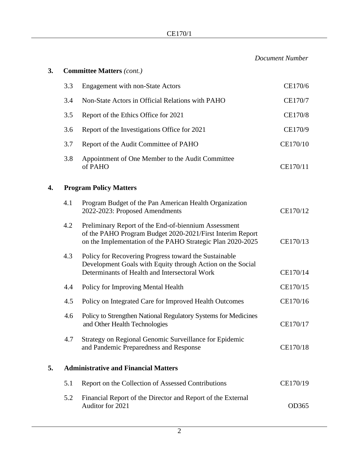*Document Number*

| 3. |                                             | <b>Committee Matters (cont.)</b>                                                                                                                                                |          |  |
|----|---------------------------------------------|---------------------------------------------------------------------------------------------------------------------------------------------------------------------------------|----------|--|
|    | 3.3                                         | <b>Engagement with non-State Actors</b>                                                                                                                                         | CE170/6  |  |
|    | 3.4                                         | Non-State Actors in Official Relations with PAHO                                                                                                                                | CE170/7  |  |
|    | 3.5                                         | Report of the Ethics Office for 2021                                                                                                                                            | CE170/8  |  |
|    | 3.6                                         | Report of the Investigations Office for 2021                                                                                                                                    | CE170/9  |  |
|    | 3.7                                         | Report of the Audit Committee of PAHO                                                                                                                                           | CE170/10 |  |
|    | 3.8                                         | Appointment of One Member to the Audit Committee<br>of PAHO                                                                                                                     | CE170/11 |  |
| 4. | <b>Program Policy Matters</b>               |                                                                                                                                                                                 |          |  |
|    | 4.1                                         | Program Budget of the Pan American Health Organization<br>2022-2023: Proposed Amendments                                                                                        | CE170/12 |  |
|    | 4.2                                         | Preliminary Report of the End-of-biennium Assessment<br>of the PAHO Program Budget 2020-2021/First Interim Report<br>on the Implementation of the PAHO Strategic Plan 2020-2025 | CE170/13 |  |
|    | 4.3                                         | Policy for Recovering Progress toward the Sustainable<br>Development Goals with Equity through Action on the Social<br>Determinants of Health and Intersectoral Work            | CE170/14 |  |
|    | 4.4                                         | Policy for Improving Mental Health                                                                                                                                              | CE170/15 |  |
|    | 4.5                                         | Policy on Integrated Care for Improved Health Outcomes                                                                                                                          | CE170/16 |  |
|    | 4.6                                         | Policy to Strengthen National Regulatory Systems for Medicines<br>and Other Health Technologies                                                                                 | CE170/17 |  |
|    | 4.7                                         | Strategy on Regional Genomic Surveillance for Epidemic<br>and Pandemic Preparedness and Response                                                                                | CE170/18 |  |
| 5. | <b>Administrative and Financial Matters</b> |                                                                                                                                                                                 |          |  |
|    | 5.1                                         | Report on the Collection of Assessed Contributions                                                                                                                              | CE170/19 |  |
|    | 5.2                                         | Financial Report of the Director and Report of the External<br>Auditor for 2021                                                                                                 | OD365    |  |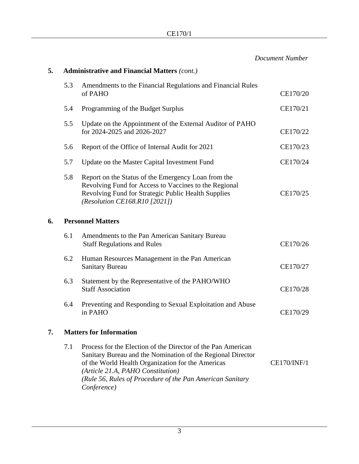|    |     |                                                                                                                                                                                                                                                                                                   | <b>Document Number</b> |
|----|-----|---------------------------------------------------------------------------------------------------------------------------------------------------------------------------------------------------------------------------------------------------------------------------------------------------|------------------------|
| 5. |     | <b>Administrative and Financial Matters (cont.)</b>                                                                                                                                                                                                                                               |                        |
|    | 5.3 | Amendments to the Financial Regulations and Financial Rules<br>of PAHO                                                                                                                                                                                                                            | CE170/20               |
|    | 5.4 | Programming of the Budget Surplus                                                                                                                                                                                                                                                                 | CE170/21               |
|    | 5.5 | Update on the Appointment of the External Auditor of PAHO<br>for 2024-2025 and 2026-2027                                                                                                                                                                                                          | CE170/22               |
|    | 5.6 | Report of the Office of Internal Audit for 2021                                                                                                                                                                                                                                                   | CE170/23               |
|    | 5.7 | Update on the Master Capital Investment Fund                                                                                                                                                                                                                                                      | CE170/24               |
|    | 5.8 | Report on the Status of the Emergency Loan from the<br>Revolving Fund for Access to Vaccines to the Regional<br>Revolving Fund for Strategic Public Health Supplies<br>(Resolution CE168.R10 [2021])                                                                                              | CE170/25               |
| 6. |     | <b>Personnel Matters</b>                                                                                                                                                                                                                                                                          |                        |
|    | 6.1 | Amendments to the Pan American Sanitary Bureau<br><b>Staff Regulations and Rules</b>                                                                                                                                                                                                              | CE170/26               |
|    | 6.2 | Human Resources Management in the Pan American<br><b>Sanitary Bureau</b>                                                                                                                                                                                                                          | CE170/27               |
|    | 6.3 | Statement by the Representative of the PAHO/WHO<br><b>Staff Association</b>                                                                                                                                                                                                                       | CE170/28               |
|    | 6.4 | Preventing and Responding to Sexual Exploitation and Abuse<br>in PAHO                                                                                                                                                                                                                             | CE170/29               |
| 7. |     | <b>Matters for Information</b>                                                                                                                                                                                                                                                                    |                        |
|    | 7.1 | Process for the Election of the Director of the Pan American<br>Sanitary Bureau and the Nomination of the Regional Director<br>of the World Health Organization for the Americas<br>(Article 21.A, PAHO Constitution)<br>(Rule 56, Rules of Procedure of the Pan American Sanitary<br>Conference) | <b>CE170/INF/1</b>     |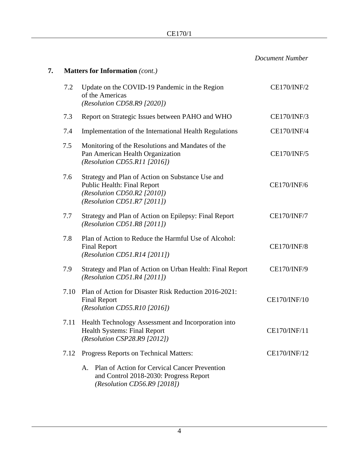|    |      |                                                                                                                                                     | <b>Document Number</b> |
|----|------|-----------------------------------------------------------------------------------------------------------------------------------------------------|------------------------|
| 7. |      | <b>Matters for Information (cont.)</b>                                                                                                              |                        |
|    | 7.2  | Update on the COVID-19 Pandemic in the Region<br>of the Americas<br>(Resolution CD58.R9 [2020])                                                     | <b>CE170/INF/2</b>     |
|    | 7.3  | Report on Strategic Issues between PAHO and WHO                                                                                                     | <b>CE170/INF/3</b>     |
|    | 7.4  | Implementation of the International Health Regulations                                                                                              | <b>CE170/INF/4</b>     |
|    | 7.5  | Monitoring of the Resolutions and Mandates of the<br>Pan American Health Organization<br>(Resolution CD55.R11 [2016])                               | <b>CE170/INF/5</b>     |
|    | 7.6  | Strategy and Plan of Action on Substance Use and<br>Public Health: Final Report<br>(Resolution CD50.R2 $[2010]$ )<br>(Resolution CD51.R7 $[2011]$ ) | <b>CE170/INF/6</b>     |
|    | 7.7  | Strategy and Plan of Action on Epilepsy: Final Report<br>(Resolution CD51.R8 $[2011]$ )                                                             | <b>CE170/INF/7</b>     |
|    | 7.8  | Plan of Action to Reduce the Harmful Use of Alcohol:<br><b>Final Report</b><br>(Resolution CD51.R14 [2011])                                         | <b>CE170/INF/8</b>     |
|    | 7.9  | Strategy and Plan of Action on Urban Health: Final Report<br>(Resolution CD51.R4 $[2011]$ )                                                         | <b>CE170/INF/9</b>     |
|    | 7.10 | Plan of Action for Disaster Risk Reduction 2016-2021:<br><b>Final Report</b><br>(Resolution CD55.R10 [2016])                                        | <b>CE170/INF/10</b>    |
|    | 7.11 | Health Technology Assessment and Incorporation into<br><b>Health Systems: Final Report</b><br>(Resolution CSP28.R9 $[2012]$ )                       | CE170/INF/11           |
|    | 7.12 | Progress Reports on Technical Matters:                                                                                                              | CE170/INF/12           |
|    |      | Plan of Action for Cervical Cancer Prevention<br>Α.<br>and Control 2018-2030: Progress Report<br>(Resolution CD56.R9 $[2018]$ )                     |                        |